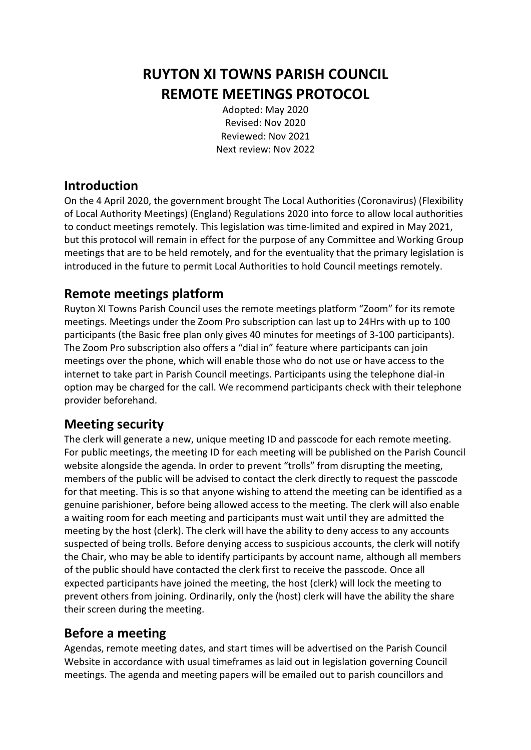# **RUYTON XI TOWNS PARISH COUNCIL REMOTE MEETINGS PROTOCOL**

Adopted: May 2020 Revised: Nov 2020 Reviewed: Nov 2021 Next review: Nov 2022

### **Introduction**

On the 4 April 2020, the government brought The Local Authorities (Coronavirus) (Flexibility of Local Authority Meetings) (England) Regulations 2020 into force to allow local authorities to conduct meetings remotely. This legislation was time-limited and expired in May 2021, but this protocol will remain in effect for the purpose of any Committee and Working Group meetings that are to be held remotely, and for the eventuality that the primary legislation is introduced in the future to permit Local Authorities to hold Council meetings remotely.

# **Remote meetings platform**

Ruyton XI Towns Parish Council uses the remote meetings platform "Zoom" for its remote meetings. Meetings under the Zoom Pro subscription can last up to 24Hrs with up to 100 participants (the Basic free plan only gives 40 minutes for meetings of 3-100 participants). The Zoom Pro subscription also offers a "dial in" feature where participants can join meetings over the phone, which will enable those who do not use or have access to the internet to take part in Parish Council meetings. Participants using the telephone dial-in option may be charged for the call. We recommend participants check with their telephone provider beforehand.

# **Meeting security**

The clerk will generate a new, unique meeting ID and passcode for each remote meeting. For public meetings, the meeting ID for each meeting will be published on the Parish Council website alongside the agenda. In order to prevent "trolls" from disrupting the meeting, members of the public will be advised to contact the clerk directly to request the passcode for that meeting. This is so that anyone wishing to attend the meeting can be identified as a genuine parishioner, before being allowed access to the meeting. The clerk will also enable a waiting room for each meeting and participants must wait until they are admitted the meeting by the host (clerk). The clerk will have the ability to deny access to any accounts suspected of being trolls. Before denying access to suspicious accounts, the clerk will notify the Chair, who may be able to identify participants by account name, although all members of the public should have contacted the clerk first to receive the passcode. Once all expected participants have joined the meeting, the host (clerk) will lock the meeting to prevent others from joining. Ordinarily, only the (host) clerk will have the ability the share their screen during the meeting.

# **Before a meeting**

Agendas, remote meeting dates, and start times will be advertised on the Parish Council Website in accordance with usual timeframes as laid out in legislation governing Council meetings. The agenda and meeting papers will be emailed out to parish councillors and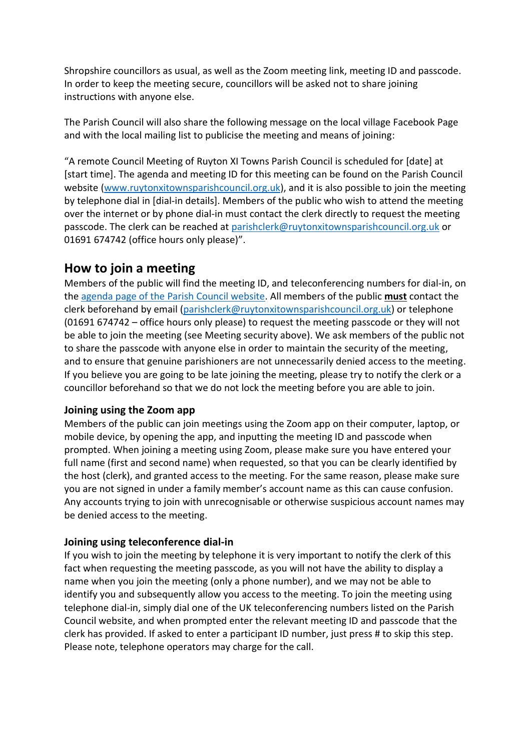Shropshire councillors as usual, as well as the Zoom meeting link, meeting ID and passcode. In order to keep the meeting secure, councillors will be asked not to share joining instructions with anyone else.

The Parish Council will also share the following message on the local village Facebook Page and with the local mailing list to publicise the meeting and means of joining:

"A remote Council Meeting of Ruyton XI Towns Parish Council is scheduled for [date] at [start time]. The agenda and meeting ID for this meeting can be found on the Parish Council website [\(www.ruytonxitownsparishcouncil.org.uk\)](http://www.ruytonxitownsparishcouncil.org.uk/), and it is also possible to join the meeting by telephone dial in [dial-in details]. Members of the public who wish to attend the meeting over the internet or by phone dial-in must contact the clerk directly to request the meeting passcode. The clerk can be reached at [parishclerk@ruytonxitownsparishcouncil.org.uk](mailto:parishclerk@ruytonxitownsparishcouncil.org.uk) or 01691 674742 (office hours only please)".

# **How to join a meeting**

Members of the public will find the meeting ID, and teleconferencing numbers for dial-in, on the [agenda page of the Parish Council website.](http://www.ruytonxitownsparishcouncil.org.uk/agenda-and-minutes/) All members of the public **must** contact the clerk beforehand by email [\(parishclerk@ruytonxitownsparishcouncil.org.uk\)](mailto:parishclerk@ruytonxitownsparishcouncil.org.uk) or telephone (01691 674742 – office hours only please) to request the meeting passcode or they will not be able to join the meeting (see Meeting security above). We ask members of the public not to share the passcode with anyone else in order to maintain the security of the meeting, and to ensure that genuine parishioners are not unnecessarily denied access to the meeting. If you believe you are going to be late joining the meeting, please try to notify the clerk or a councillor beforehand so that we do not lock the meeting before you are able to join.

### **Joining using the Zoom app**

Members of the public can join meetings using the Zoom app on their computer, laptop, or mobile device, by opening the app, and inputting the meeting ID and passcode when prompted. When joining a meeting using Zoom, please make sure you have entered your full name (first and second name) when requested, so that you can be clearly identified by the host (clerk), and granted access to the meeting. For the same reason, please make sure you are not signed in under a family member's account name as this can cause confusion. Any accounts trying to join with unrecognisable or otherwise suspicious account names may be denied access to the meeting.

### **Joining using teleconference dial-in**

If you wish to join the meeting by telephone it is very important to notify the clerk of this fact when requesting the meeting passcode, as you will not have the ability to display a name when you join the meeting (only a phone number), and we may not be able to identify you and subsequently allow you access to the meeting. To join the meeting using telephone dial-in, simply dial one of the UK teleconferencing numbers listed on the Parish Council website, and when prompted enter the relevant meeting ID and passcode that the clerk has provided. If asked to enter a participant ID number, just press # to skip this step. Please note, telephone operators may charge for the call.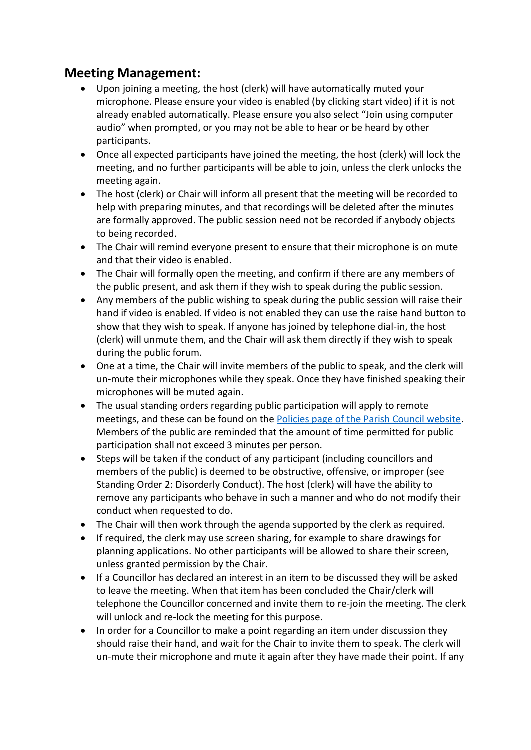# **Meeting Management:**

- Upon joining a meeting, the host (clerk) will have automatically muted your microphone. Please ensure your video is enabled (by clicking start video) if it is not already enabled automatically. Please ensure you also select "Join using computer audio" when prompted, or you may not be able to hear or be heard by other participants.
- Once all expected participants have joined the meeting, the host (clerk) will lock the meeting, and no further participants will be able to join, unless the clerk unlocks the meeting again.
- The host (clerk) or Chair will inform all present that the meeting will be recorded to help with preparing minutes, and that recordings will be deleted after the minutes are formally approved. The public session need not be recorded if anybody objects to being recorded.
- The Chair will remind everyone present to ensure that their microphone is on mute and that their video is enabled.
- The Chair will formally open the meeting, and confirm if there are any members of the public present, and ask them if they wish to speak during the public session.
- Any members of the public wishing to speak during the public session will raise their hand if video is enabled. If video is not enabled they can use the raise hand button to show that they wish to speak. If anyone has joined by telephone dial-in, the host (clerk) will unmute them, and the Chair will ask them directly if they wish to speak during the public forum.
- One at a time, the Chair will invite members of the public to speak, and the clerk will un-mute their microphones while they speak. Once they have finished speaking their microphones will be muted again.
- The usual standing orders regarding public participation will apply to remote meetings, and these can be found on the [Policies page of the Parish Council website.](http://www.ruytonxitownsparishcouncil.org.uk/council-policies/) Members of the public are reminded that the amount of time permitted for public participation shall not exceed 3 minutes per person.
- Steps will be taken if the conduct of any participant (including councillors and members of the public) is deemed to be obstructive, offensive, or improper (see Standing Order 2: Disorderly Conduct). The host (clerk) will have the ability to remove any participants who behave in such a manner and who do not modify their conduct when requested to do.
- The Chair will then work through the agenda supported by the clerk as required.
- If required, the clerk may use screen sharing, for example to share drawings for planning applications. No other participants will be allowed to share their screen, unless granted permission by the Chair.
- If a Councillor has declared an interest in an item to be discussed they will be asked to leave the meeting. When that item has been concluded the Chair/clerk will telephone the Councillor concerned and invite them to re-join the meeting. The clerk will unlock and re-lock the meeting for this purpose.
- In order for a Councillor to make a point regarding an item under discussion they should raise their hand, and wait for the Chair to invite them to speak. The clerk will un-mute their microphone and mute it again after they have made their point. If any